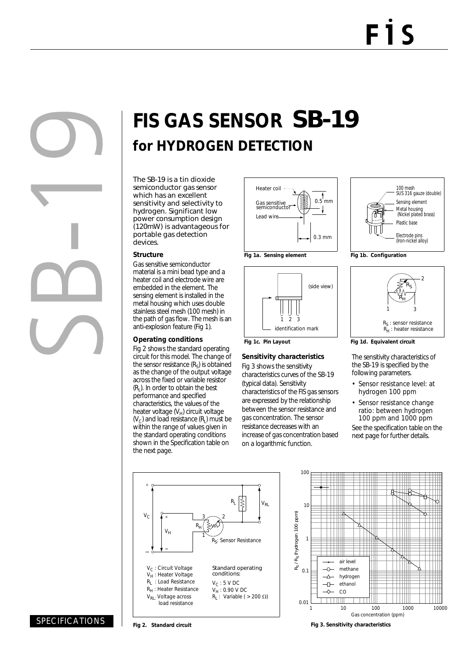# **FIS GAS SENSOR** SB-19 **for HYDROGEN DETECTION**

The SB-19 is a tin dioxide semiconductor gas sensor which has an excellent sensitivity and selectivity to hydrogen. Significant low power consumption design (120mW) is advantageous for portable gas detection devices.

#### **Structure**

Gas sensitive semiconductor material is a mini bead type and a heater coil and electrode wire are embedded in the element. The sensing element is installed in the metal housing which uses double stainless steel mesh (100 mesh) in the path of gas flow. The mesh is an anti-explosion feature (Fig 1).

#### **Operating conditions**

Fig 2 shows the standard operating circuit for this model. The change of the sensor resistance  $(R<sub>s</sub>)$  is obtained as the change of the output voltage across the fixed or variable resistor  $(R<sub>1</sub>)$ . In order to obtain the best performance and specified characteristics, the values of the heater voltage  $(V_H)$  circuit voltage  $(V<sub>C</sub>)$  and load resistance  $(R<sub>L</sub>)$  must be within the range of values given in the standard operating conditions shown in the Specification table on the next page.







### **Sensitivity characteristics**

Fig 3 shows the sensitivity characteristics curves of the SB-19 (typical data). Sensitivity characteristics of the FIS gas sensors are expressed by the relationship between the sensor resistance and gas concentration. The sensor resistance decreases with an increase of gas concentration based on a logarithmic function.





**Fig 1d. Equivalent circuit**

The sensitivity characteristics of the SB-19 is specified by the following parameters.

- Sensor resistance level: at hydrogen 100 ppm
- Sensor resistance change ratio: between hydrogen 100 ppm and 1000 ppm

See the specification table on the next page for further details.





**Fig 2. Standard circuit Fig 3. Sensitivity characteristics**

SPECIFICATIONS